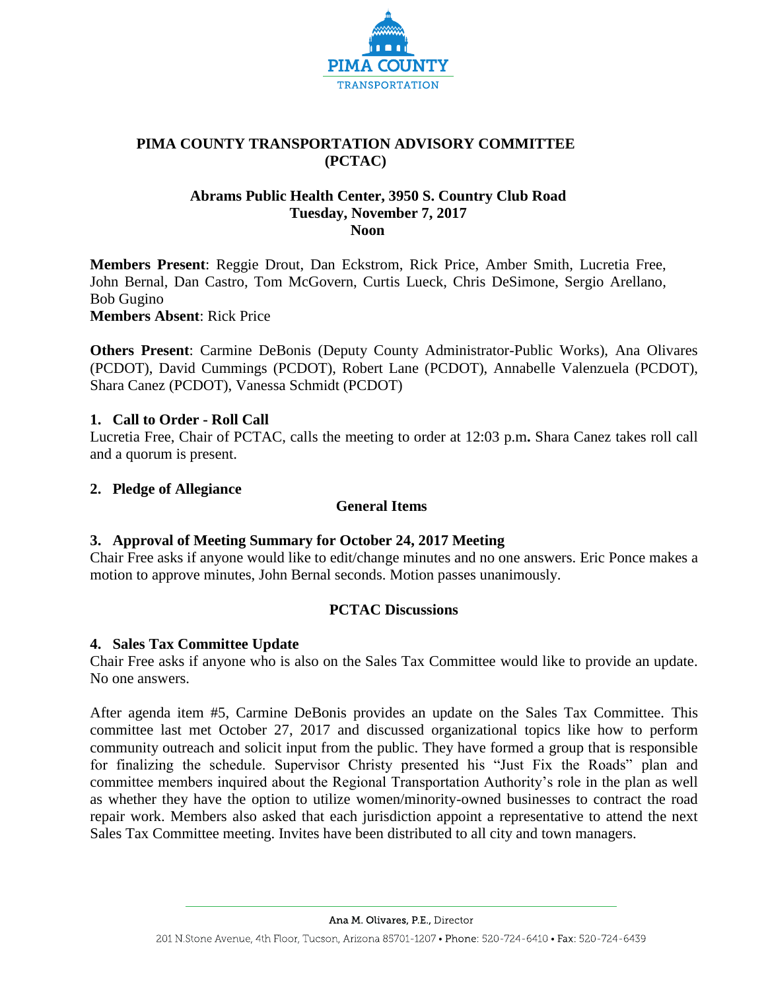

# **PIMA COUNTY TRANSPORTATION ADVISORY COMMITTEE (PCTAC)**

## **Abrams Public Health Center, 3950 S. Country Club Road Tuesday, November 7, 2017 Noon**

**Members Present**: Reggie Drout, Dan Eckstrom, Rick Price, Amber Smith, Lucretia Free, John Bernal, Dan Castro, Tom McGovern, Curtis Lueck, Chris DeSimone, Sergio Arellano, Bob Gugino

**Members Absent**: Rick Price

**Others Present**: Carmine DeBonis (Deputy County Administrator-Public Works), Ana Olivares (PCDOT), David Cummings (PCDOT), Robert Lane (PCDOT), Annabelle Valenzuela (PCDOT), Shara Canez (PCDOT), Vanessa Schmidt (PCDOT)

## **1. Call to Order - Roll Call**

Lucretia Free, Chair of PCTAC, calls the meeting to order at 12:03 p.m**.** Shara Canez takes roll call and a quorum is present.

## **2. Pledge of Allegiance**

### **General Items**

# **3. Approval of Meeting Summary for October 24, 2017 Meeting**

Chair Free asks if anyone would like to edit/change minutes and no one answers. Eric Ponce makes a motion to approve minutes, John Bernal seconds. Motion passes unanimously.

### **PCTAC Discussions**

### **4. Sales Tax Committee Update**

Chair Free asks if anyone who is also on the Sales Tax Committee would like to provide an update. No one answers.

After agenda item #5, Carmine DeBonis provides an update on the Sales Tax Committee. This committee last met October 27, 2017 and discussed organizational topics like how to perform community outreach and solicit input from the public. They have formed a group that is responsible for finalizing the schedule. Supervisor Christy presented his "Just Fix the Roads" plan and committee members inquired about the Regional Transportation Authority's role in the plan as well as whether they have the option to utilize women/minority-owned businesses to contract the road repair work. Members also asked that each jurisdiction appoint a representative to attend the next Sales Tax Committee meeting. Invites have been distributed to all city and town managers.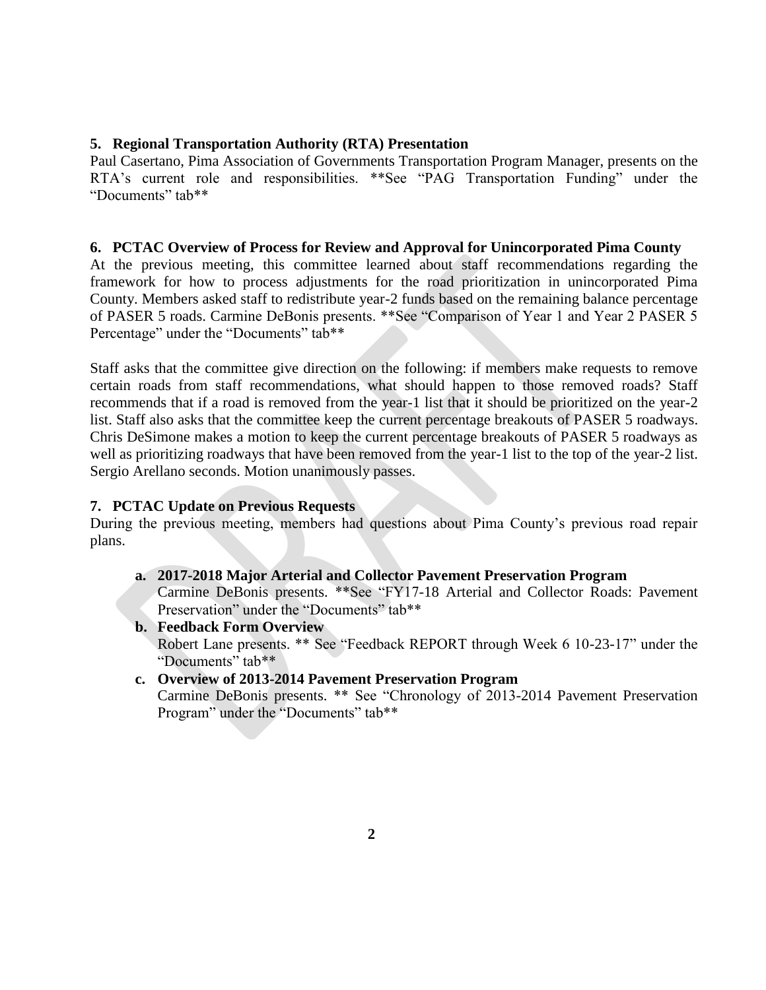## **5. Regional Transportation Authority (RTA) Presentation**

Paul Casertano, Pima Association of Governments Transportation Program Manager, presents on the RTA's current role and responsibilities. \*\*See "PAG Transportation Funding" under the "Documents" tab\*\*

### **6. PCTAC Overview of Process for Review and Approval for Unincorporated Pima County**

At the previous meeting, this committee learned about staff recommendations regarding the framework for how to process adjustments for the road prioritization in unincorporated Pima County. Members asked staff to redistribute year-2 funds based on the remaining balance percentage of PASER 5 roads. Carmine DeBonis presents. \*\*See "Comparison of Year 1 and Year 2 PASER 5 Percentage" under the "Documents" tab\*\*

Staff asks that the committee give direction on the following: if members make requests to remove certain roads from staff recommendations, what should happen to those removed roads? Staff recommends that if a road is removed from the year-1 list that it should be prioritized on the year-2 list. Staff also asks that the committee keep the current percentage breakouts of PASER 5 roadways. Chris DeSimone makes a motion to keep the current percentage breakouts of PASER 5 roadways as well as prioritizing roadways that have been removed from the year-1 list to the top of the year-2 list. Sergio Arellano seconds. Motion unanimously passes.

### **7. PCTAC Update on Previous Requests**

During the previous meeting, members had questions about Pima County's previous road repair plans.

### **a. 2017-2018 Major Arterial and Collector Pavement Preservation Program**

Carmine DeBonis presents. \*\*See "FY17-18 Arterial and Collector Roads: Pavement Preservation" under the "Documents" tab\*\*

#### **b. Feedback Form Overview**

Robert Lane presents. \*\* See "Feedback REPORT through Week 6 10-23-17" under the "Documents" tab\*\*

### **c. Overview of 2013-2014 Pavement Preservation Program**

Carmine DeBonis presents. \*\* See "Chronology of 2013-2014 Pavement Preservation Program" under the "Documents" tab\*\*